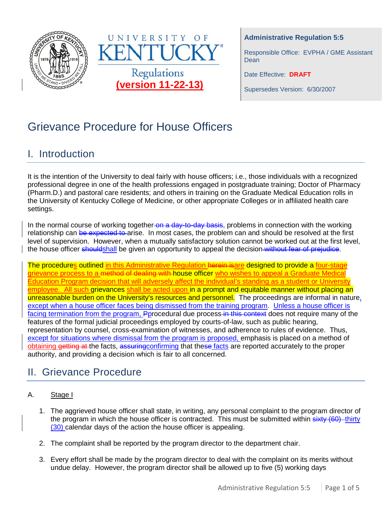



### **Administrative Regulation 5:5**

Responsible Office: EVPHA / GME Assistant Dean

Date Effective: **DRAFT**

Supersedes Version: 6/30/2007

# Grievance Procedure for House Officers

# I. Introduction

It is the intention of the University to deal fairly with house officers; i.e., those individuals with a recognized professional degree in one of the health professions engaged in postgraduate training; Doctor of Pharmacy (Pharm.D.) and pastoral care residents; and others in training on the Graduate Medical Education rolls in the University of Kentucky College of Medicine, or other appropriate Colleges or in affiliated health care settings.

In the normal course of working together on a day-to-day basis, problems in connection with the working relationship can be expected to arise. In most cases, the problem can and should be resolved at the first level of supervision. However, when a mutually satisfactory solution cannot be worked out at the first level, the house officer shouldshall be given an opportunity to appeal the decision without fear of prejudice.

The procedures outlined in this Administrative Regulation herein isare designed to provide a four-stage grievance process to a method of dealing with-house officer who wishes to appeal a Graduate Medical Education Program decision that will adversely affect the individual's standing as a student or University employee. All such grievances shall be acted upon in a prompt and equitable manner without placing an unreasonable burden on the University's resources and personnel. The proceedings are informal in nature, except when a house officer faces being dismissed from the training program. Unless a house officer is facing termination from the program, Pprocedural due process in this context does not require many of the features of the formal judicial proceedings employed by courts-of-law, such as public hearing, representation by counsel, cross-examination of witnesses, and adherence to rules of evidence. Thus, except for situations where dismissal from the program is proposed, emphasis is placed on a method of obtaining getting at the facts, assuring confirming that these facts are reported accurately to the proper authority, and providing a decision which is fair to all concerned.

# II. Grievance Procedure

# A. Stage I

- 1. The aggrieved house officer shall state, in writing, any personal complaint to the program director of the program in which the house officer is contracted. This must be submitted within sixty (60) -thirty (30) calendar days of the action the house officer is appealing.
- 2. The complaint shall be reported by the program director to the department chair.
- 3. Every effort shall be made by the program director to deal with the complaint on its merits without undue delay. However, the program director shall be allowed up to five (5) working days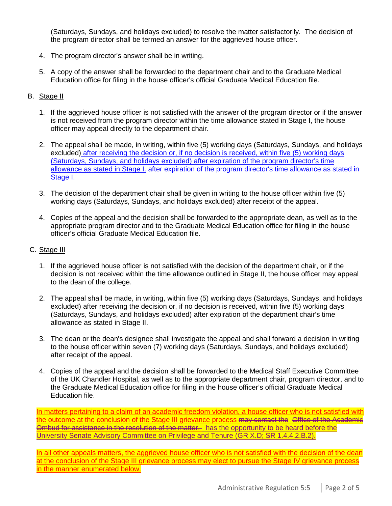(Saturdays, Sundays, and holidays excluded) to resolve the matter satisfactorily. The decision of the program director shall be termed an answer for the aggrieved house officer.

- 4. The program director's answer shall be in writing.
- 5. A copy of the answer shall be forwarded to the department chair and to the Graduate Medical Education office for filing in the house officer's official Graduate Medical Education file.

## B. Stage II

- 1. If the aggrieved house officer is not satisfied with the answer of the program director or if the answer is not received from the program director within the time allowance stated in Stage I, the house officer may appeal directly to the department chair.
- 2. The appeal shall be made, in writing, within five (5) working days (Saturdays, Sundays, and holidays excluded) after receiving the decision or, if no decision is received, within five (5) working days (Saturdays, Sundays, and holidays excluded) after expiration of the program director's time allowance as stated in Stage I. after expiration of the program director's time allowance as stated in Stage I.
- 3. The decision of the department chair shall be given in writing to the house officer within five (5) working days (Saturdays, Sundays, and holidays excluded) after receipt of the appeal.
- 4. Copies of the appeal and the decision shall be forwarded to the appropriate dean, as well as to the appropriate program director and to the Graduate Medical Education office for filing in the house officer's official Graduate Medical Education file.

#### C. Stage III

- 1. If the aggrieved house officer is not satisfied with the decision of the department chair, or if the decision is not received within the time allowance outlined in Stage II, the house officer may appeal to the dean of the college.
- 2. The appeal shall be made, in writing, within five (5) working days (Saturdays, Sundays, and holidays excluded) after receiving the decision or, if no decision is received, within five (5) working days (Saturdays, Sundays, and holidays excluded) after expiration of the department chair's time allowance as stated in Stage II.
- 3. The dean or the dean's designee shall investigate the appeal and shall forward a decision in writing to the house officer within seven (7) working days (Saturdays, Sundays, and holidays excluded) after receipt of the appeal.
- 4. Copies of the appeal and the decision shall be forwarded to the Medical Staff Executive Committee of the UK Chandler Hospital, as well as to the appropriate department chair, program director, and to the Graduate Medical Education office for filing in the house officer's official Graduate Medical Education file.

In matters pertaining to a claim of an academic freedom violation, a house officer who is not satisfied with the outcome at the conclusion of the Stage III grievance process may contact the Office of the Academic Ombud for assistance in the resolution of the matter. has the opportunity to be heard before the University Senate Advisory Committee on Privilege and Tenure (GR X.D; SR 1.4.4.2.B.2).

In all other appeals matters, the aggrieved house officer who is not satisfied with the decision of the dean at the conclusion of the Stage III grievance process may elect to pursue the Stage IV grievance process in the manner enumerated below.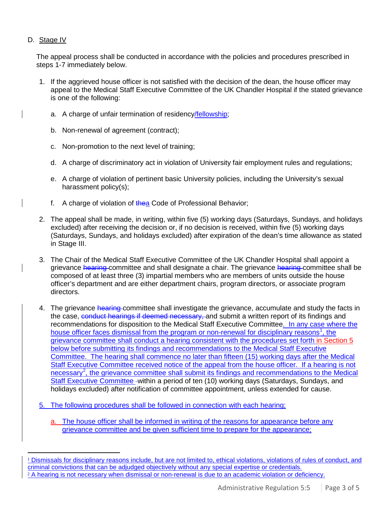## D. Stage IV

The appeal process shall be conducted in accordance with the policies and procedures prescribed in steps 1-7 immediately below.

- 1. If the aggrieved house officer is not satisfied with the decision of the dean, the house officer may appeal to the Medical Staff Executive Committee of the UK Chandler Hospital if the stated grievance is one of the following:
	- a. A charge of unfair termination of residency/fellowship;
	- b. Non-renewal of agreement (contract);
	- c. Non-promotion to the next level of training;
	- d. A charge of discriminatory act in violation of University fair employment rules and regulations;
	- e. A charge of violation of pertinent basic University policies, including the University's sexual harassment policy(s);
	- f. A charge of violation of thea Code of Professional Behavior;
- 2. The appeal shall be made, in writing, within five (5) working days (Saturdays, Sundays, and holidays excluded) after receiving the decision or, if no decision is received, within five (5) working days (Saturdays, Sundays, and holidays excluded) after expiration of the dean's time allowance as stated in Stage III.
- 3. The Chair of the Medical Staff Executive Committee of the UK Chandler Hospital shall appoint a grievance hearing committee and shall designate a chair. The grievance hearing committee shall be composed of at least three (3) impartial members who are members of units outside the house officer's department and are either department chairs, program directors, or associate program directors.
- 4. The grievance hearing committee shall investigate the grievance, accumulate and study the facts in the case, conduct hearings if deemed necessary, and submit a written report of its findings and recommendations for disposition to the Medical Staff Executive Committee. In any case where the house officer faces dismissal from the program or non-renewal for disciplinary reasons<sup>[1](#page-2-0)</sup>, the grievance committee shall conduct a hearing consistent with the procedures set forth in Section 5 below before submitting its findings and recommendations to the Medical Staff Executive Committee. The hearing shall commence no later than fifteen (15) working days after the Medical Staff Executive Committee received notice of the appeal from the house officer. If a hearing is not necessary<sup>[2](#page-2-1)</sup>, the grievance committee shall submit its findings and recommendations to the Medical Staff Executive Committee -within a period of ten (10) working days (Saturdays, Sundays, and holidays excluded) after notification of committee appointment, unless extended for cause.
- 5. The following procedures shall be followed in connection with each hearing;
	- a. The house officer shall be informed in writing of the reasons for appearance before any grievance committee and be given sufficient time to prepare for the appearance;

<span id="page-2-1"></span><span id="page-2-0"></span> <sup>1</sup> Dismissals for disciplinary reasons include, but are not limited to, ethical violations, violations of rules of conduct, and criminal convictions that can be adjudged objectively without any special expertise or credentials. <sup>2</sup> A hearing is not necessary when dismissal or non-renewal is due to an academic violation or deficiency.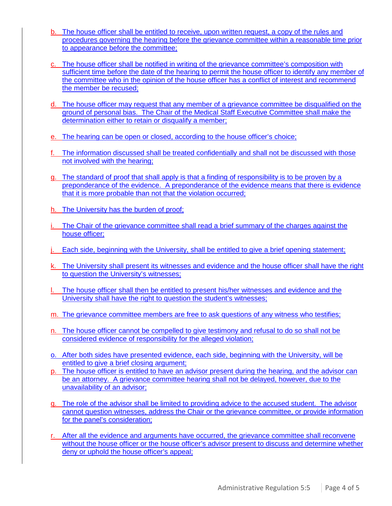- b. The house officer shall be entitled to receive, upon written request, a copy of the rules and procedures governing the hearing before the grievance committee within a reasonable time prior to appearance before the committee;
- c. The house officer shall be notified in writing of the grievance committee's composition with sufficient time before the date of the hearing to permit the house officer to identify any member of the committee who in the opinion of the house officer has a conflict of interest and recommend the member be recused;
- d. The house officer may request that any member of a grievance committee be disqualified on the ground of personal bias. The Chair of the Medical Staff Executive Committee shall make the determination either to retain or disqualify a member;
- e. The hearing can be open or closed, according to the house officer's choice;
- f. The information discussed shall be treated confidentially and shall not be discussed with those not involved with the hearing;
- g. The standard of proof that shall apply is that a finding of responsibility is to be proven by a preponderance of the evidence. A preponderance of the evidence means that there is evidence that it is more probable than not that the violation occurred;
- h. The University has the burden of proof;
- The Chair of the grievance committee shall read a brief summary of the charges against the house officer;
- j. Each side, beginning with the University, shall be entitled to give a brief opening statement;
- k. The University shall present its witnesses and evidence and the house officer shall have the right to question the University's witnesses;
- The house officer shall then be entitled to present his/her witnesses and evidence and the University shall have the right to question the student's witnesses;
- m. The grievance committee members are free to ask questions of any witness who testifies;
- n. The house officer cannot be compelled to give testimony and refusal to do so shall not be considered evidence of responsibility for the alleged violation;
- o. After both sides have presented evidence, each side, beginning with the University, will be entitled to give a brief closing argument;
- p. The house officer is entitled to have an advisor present during the hearing, and the advisor can be an attorney. A grievance committee hearing shall not be delayed, however, due to the unavailability of an advisor;
- q. The role of the advisor shall be limited to providing advice to the accused student. The advisor cannot question witnesses, address the Chair or the grievance committee, or provide information for the panel's consideration;
- r. After all the evidence and arguments have occurred, the grievance committee shall reconvene without the house officer or the house officer's advisor present to discuss and determine whether deny or uphold the house officer's appeal;